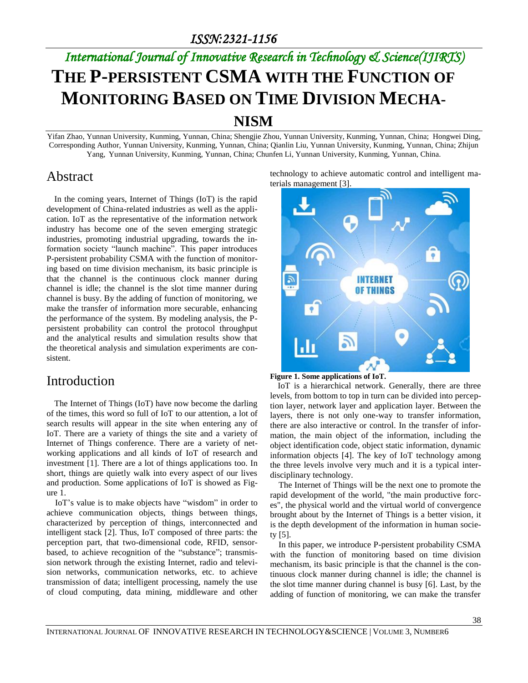# *International Journal of Innovative Research in Technology & Science(IJIRTS)* **THE P-PERSISTENT CSMA WITH THE FUNCTION OF MONITORING BASED ON TIME DIVISION MECHA-NISM**

Yifan Zhao, Yunnan University, Kunming, Yunnan, China; Shengjie Zhou, Yunnan University, Kunming, Yunnan, China; Hongwei Ding, Corresponding Author, Yunnan University, Kunming, Yunnan, China; Qianlin Liu, Yunnan University, Kunming, Yunnan, China; Zhijun Yang, Yunnan University, Kunming, Yunnan, China; Chunfen Li, Yunnan University, Kunming, Yunnan, China.

#### Abstract

In the coming years, Internet of Things (IoT) is the rapid development of China-related industries as well as the application. IoT as the representative of the information network industry has become one of the seven emerging strategic industries, promoting industrial upgrading, towards the information society "launch machine". This paper introduces P-persistent probability CSMA with the function of monitoring based on time division mechanism, its basic principle is that the channel is the continuous clock manner during channel is idle; the channel is the slot time manner during channel is busy. By the adding of function of monitoring, we make the transfer of information more securable, enhancing the performance of the system. By modeling analysis, the Ppersistent probability can control the protocol throughput and the analytical results and simulation results show that the theoretical analysis and simulation experiments are consistent.

#### Introduction

The Internet of Things (IoT) have now become the darling of the times, this word so full of IoT to our attention, a lot of search results will appear in the site when entering any of IoT. There are a variety of things the site and a variety of Internet of Things conference. There are a variety of networking applications and all kinds of IoT of research and investment [1]. There are a lot of things applications too. In short, things are quietly walk into every aspect of our lives and production. Some applications of IoT is showed as Figure 1.

IoT's value is to make objects have "wisdom" in order to achieve communication objects, things between things, characterized by perception of things, interconnected and intelligent stack [2]. Thus, IoT composed of three parts: the perception part, that two-dimensional code, RFID, sensorbased, to achieve recognition of the "substance"; transmission network through the existing Internet, radio and television networks, communication networks, etc. to achieve transmission of data; intelligent processing, namely the use of cloud computing, data mining, middleware and other

technology to achieve automatic control and intelligent materials management [3].



**Figure 1. Some applications of IoT.**

IoT is a hierarchical network. Generally, there are three levels, from bottom to top in turn can be divided into perception layer, network layer and application layer. Between the layers, there is not only one-way to transfer information, there are also interactive or control. In the transfer of information, the main object of the information, including the object identification code, object static information, dynamic information objects [4]. The key of IoT technology among the three levels involve very much and it is a typical interdisciplinary technology.

The Internet of Things will be the next one to promote the rapid development of the world, "the main productive forces", the physical world and the virtual world of convergence brought about by the Internet of Things is a better vision, it is the depth development of the information in human society [5].

In this paper, we introduce P-persistent probability CSMA with the function of monitoring based on time division mechanism, its basic principle is that the channel is the continuous clock manner during channel is idle; the channel is the slot time manner during channel is busy [6]. Last, by the adding of function of monitoring, we can make the transfer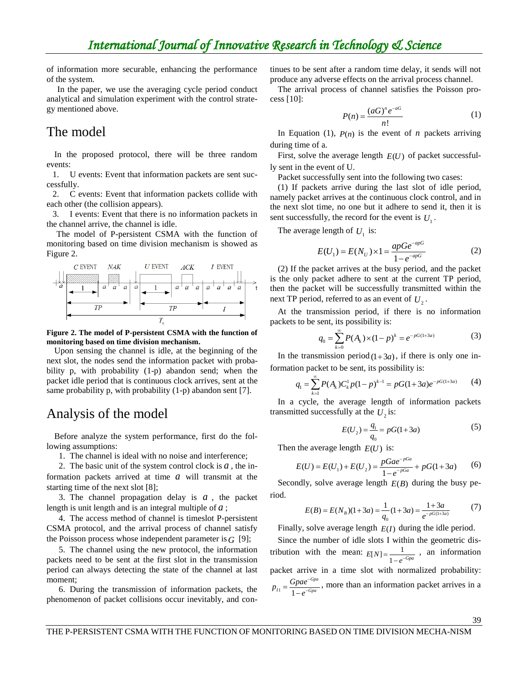of information more securable, enhancing the performance of the system.

In the paper, we use the averaging cycle period conduct analytical and simulation experiment with the control strategy mentioned above.

# The model

In the proposed protocol, there will be three random events:

1. U events: Event that information packets are sent successfully.

2. C events: Event that information packets collide with each other (the collision appears).

3. I events: Event that there is no information packets in the channel arrive, the channel is idle.

The model of P-persistent CSMA with the function of monitoring based on time division mechanism is showed as Figure 2.



**Figure 2. The model of P-persistent CSMA with the function of monitoring based on time division mechanism.**

Upon sensing the channel is idle, at the beginning of the next slot, the nodes send the information packet with probability p, with probability (1-p) abandon send; when the packet idle period that is continuous clock arrives, sent at the same probability p, with probability  $(1-p)$  abandon sent [7].

## Analysis of the model

Before analyze the system performance, first do the following assumptions:

1. The channel is ideal with no noise and interference;

2. The basic unit of the system control clock is  $a$ , the information packets arrived at time *a* will transmit at the starting time of the next slot [8];

3. The channel propagation delay is  $a$ , the packet length is unit length and is an integral multiple of *a* ;

4. The access method of channel is timeslot P-persistent CSMA protocol, and the arrival process of channel satisfy the Poisson process whose independent parameter is *G* [9];

5. The channel using the new protocol, the information packets need to be sent at the first slot in the transmission period can always detecting the state of the channel at last moment;

6. During the transmission of information packets, the phenomenon of packet collisions occur inevitably, and continues to be sent after a random time delay, it sends will not produce any adverse effects on the arrival process channel.

The arrival process of channel satisfies the Poisson process [10]:

$$
P(n) = \frac{(aG)^n e^{-aG}}{n!}
$$
 (1)

In Equation (1),  $P(n)$  is the event of *n* packets arriving during time of a.

First, solve the average length  $E(U)$  of packet successfully sent in the event of U.

Packet successfully sent into the following two cases:

(1) If packets arrive during the last slot of idle period, namely packet arrives at the continuous clock control, and in the next slot time, no one but it adhere to send it, then it is sent successfully, the record for the event is  $U_1$ .

The average length of  $U_1$  is:

$$
E(U_1) = E(N_U) \times 1 = \frac{apGe^{-apG}}{1 - e^{-apG}}
$$
 (2)

(2) If the packet arrives at the busy period, and the packet is the only packet adhere to sent at the current TP period, then the packet will be successfully transmitted within the next TP period, referred to as an event of  $U_2$ .

At the transmission period, if there is no information packets to be sent, its possibility is:

$$
q_0 = \sum_{k=0}^{\infty} P(A_k) \times (1-p)^k = e^{-pG(1+3a)}
$$
 (3)

In the transmission period  $(1+3a)$ , if there is only one in-

formation packet to be sent, its possibility is:  
\n
$$
q_1 = \sum_{k=1}^{\infty} P(A_k) C_k^1 p (1-p)^{k-1} = pG(1+3a)e^{-pG(1+3a)}
$$
\n(4)

In a cycle, the average length of information packets transmitted successfully at the  $U_2$  is:

$$
E(U_2) = \frac{q_1}{q_0} = pG(1+3a)
$$
 (5)

Then the average length  $E(U)$  is:

the average length 
$$
E(U)
$$
 is:  
\n
$$
E(U) = E(U_1) + E(U_2) = \frac{pGae^{-pGa}}{1 - e^{-pGa}} + pG(1 + 3a)
$$
\n(6)

Secondly, solve average length  $E(B)$  during the busy period.

$$
E(B) = E(N_B)(1+3a) = \frac{1}{q_0}(1+3a) = \frac{1+3a}{e^{-pG(1+3a)}}\tag{7}
$$

Finally, solve average length  $E(I)$  during the idle period.

Since the number of idle slots I within the geometric distribution with the mean:  $E[N] = \frac{1}{1 - e^{-Gpa}}$ , an information packet arrive in a time slot with normalized probability:  $1 - 1$ *Gpa*  $I1 - 1 - e^{-Gpa}$  $p_{I1} = \frac{Gpa e^{i}}{1 - e^{-i}}$  $=\frac{Gpa e^{-}}{1-e^{-G}}$ , more than an information packet arrives in a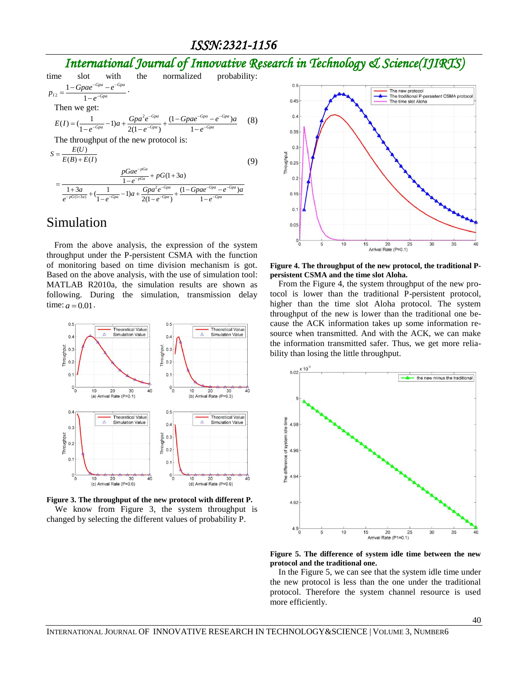# *International Journal of Innovative Research in Technology & Science(IJIRTS)*



#### Simulation

From the above analysis, the expression of the system throughput under the P-persistent CSMA with the function of monitoring based on time division mechanism is got. Based on the above analysis, with the use of simulation tool: MATLAB R2010a, the simulation results are shown as following. During the simulation, transmission delay time:  $a = 0.01$ .



**Figure 3. The throughput of the new protocol with different P.** We know from Figure 3, the system throughput is changed by selecting the different values of probability P.



**Figure 4. The throughput of the new protocol, the traditional Ppersistent CSMA and the time slot Aloha.**

From the Figure 4, the system throughput of the new protocol is lower than the traditional P-persistent protocol, higher than the time slot Aloha protocol. The system throughput of the new is lower than the traditional one because the ACK information takes up some information resource when transmitted. And with the ACK, we can make the information transmitted safer. Thus, we get more reliability than losing the little throughput.



**Figure 5. The difference of system idle time between the new protocol and the traditional one.**

In the Figure 5, we can see that the system idle time under the new protocol is less than the one under the traditional protocol. Therefore the system channel resource is used more efficiently.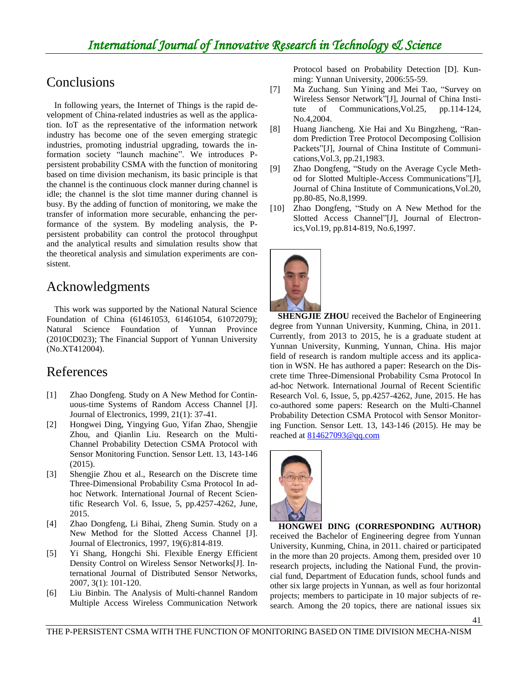# Conclusions

In following years, the Internet of Things is the rapid development of China-related industries as well as the application. IoT as the representative of the information network industry has become one of the seven emerging strategic industries, promoting industrial upgrading, towards the information society "launch machine". We introduces Ppersistent probability CSMA with the function of monitoring based on time division mechanism, its basic principle is that the channel is the continuous clock manner during channel is idle; the channel is the slot time manner during channel is busy. By the adding of function of monitoring, we make the transfer of information more securable, enhancing the performance of the system. By modeling analysis, the Ppersistent probability can control the protocol throughput and the analytical results and simulation results show that the theoretical analysis and simulation experiments are consistent.

## Acknowledgments

This work was supported by the National Natural Science Foundation of China (61461053, 61461054, 61072079); Natural Science Foundation of Yunnan Province (2010CD023); The Financial Support of Yunnan University (No.XT412004).

## References

- [1] Zhao Dongfeng. Study on A New Method for Continuous-time Systems of Random Access Channel [J]. Journal of Electronics, 1999, 21(1): 37-41.
- [2] Hongwei Ding, Yingying Guo, Yifan Zhao, Shengjie Zhou, and Qianlin Liu. Research on the Multi-Channel Probability Detection CSMA Protocol with Sensor Monitoring Function. Sensor Lett. 13, 143-146 (2015).
- [3] Shengjie Zhou et al., Research on the Discrete time Three-Dimensional Probability Csma Protocol In adhoc Network. International Journal of Recent Scientific Research Vol. 6, Issue, 5, pp.4257-4262, June, 2015.
- [4] Zhao Dongfeng, Li Bihai, Zheng Sumin. Study on a New Method for the Slotted Access Channel [J]. Journal of Electronics, 1997, 19(6):814-819.
- [5] Yi Shang, Hongchi Shi. Flexible Energy Efficient Density Control on Wireless Sensor Networks[J]. International Journal of Distributed Sensor Networks, 2007, 3(1): 101-120.
- [6] Liu Binbin. The Analysis of Multi-channel Random Multiple Access Wireless Communication Network

Protocol based on Probability Detection [D]. Kunming: Yunnan University, 2006:55-59.

- [7] Ma Zuchang. Sun Yining and Mei Tao, "Survey on Wireless Sensor Network"[J], Journal of China Institute of Communications,Vol.25, pp.114-124, No.4,2004.
- [8] Huang Jiancheng. Xie Hai and Xu Bingzheng, "Random Prediction Tree Protocol Decomposing Collision Packets"[J], Journal of China Institute of Communications,Vol.3, pp.21,1983.
- [9] Zhao Dongfeng, "Study on the Average Cycle Method for Slotted Multiple-Access Communications"[J], Journal of China Institute of Communications,Vol.20, pp.80-85, No.8,1999.
- [10] Zhao Dongfeng, "Study on A New Method for the Slotted Access Channel"[J], Journal of Electronics,Vol.19, pp.814-819, No.6,1997.



**SHENGJIE ZHOU** received the Bachelor of Engineering degree from Yunnan University, Kunming, China, in 2011. Currently, from 2013 to 2015, he is a graduate student at Yunnan University, Kunming, Yunnan, China. His major field of research is random multiple access and its application in WSN. He has authored a paper: Research on the Discrete time Three-Dimensional Probability Csma Protocol In ad-hoc Network. International Journal of Recent Scientific Research Vol. 6, Issue, 5, pp.4257-4262, June, 2015. He has co-authored some papers: Research on the Multi-Channel Probability Detection CSMA Protocol with Sensor Monitoring Function. Sensor Lett. 13, 143-146 (2015). He may be reached a[t 814627093@qq.com](mailto:814627093@qq.com)



**HONGWEI DING (CORRESPONDING AUTHOR)**  received the Bachelor of Engineering degree from Yunnan University, Kunming, China, in 2011. chaired or participated in the more than 20 projects. Among them, presided over 10 research projects, including the National Fund, the provincial fund, Department of Education funds, school funds and other six large projects in Yunnan, as well as four horizontal projects; members to participate in 10 major subjects of research. Among the 20 topics, there are national issues six

41